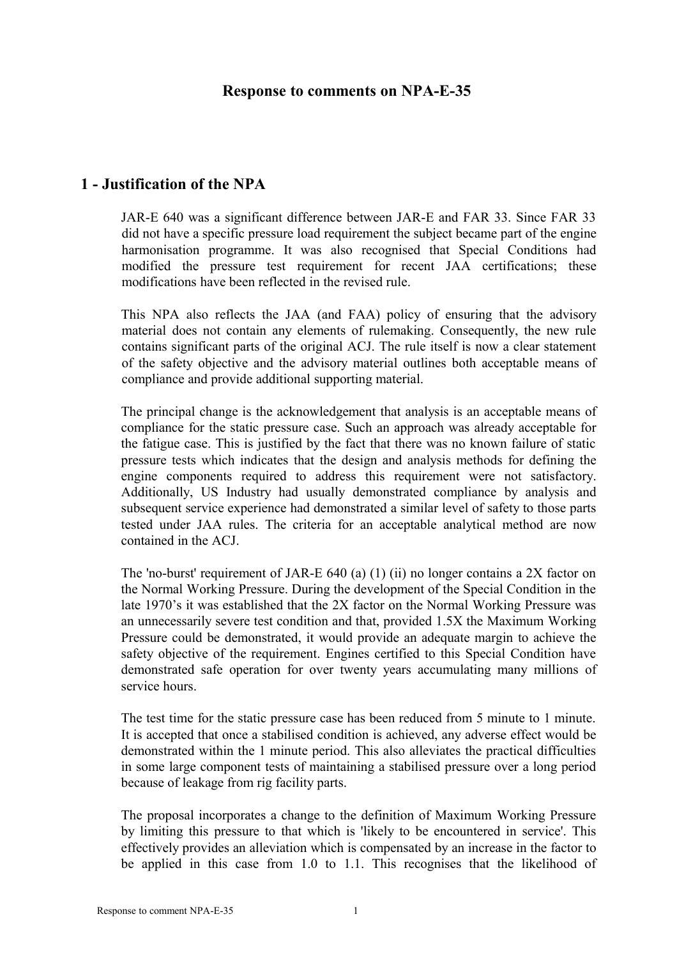#### **Response to comments on NPA-E-35**

# **1 - Justification of the NPA**

JAR-E 640 was a significant difference between JAR-E and FAR 33. Since FAR 33 did not have a specific pressure load requirement the subject became part of the engine harmonisation programme. It was also recognised that Special Conditions had modified the pressure test requirement for recent JAA certifications; these modifications have been reflected in the revised rule.

This NPA also reflects the JAA (and FAA) policy of ensuring that the advisory material does not contain any elements of rulemaking. Consequently, the new rule contains significant parts of the original ACJ. The rule itself is now a clear statement of the safety objective and the advisory material outlines both acceptable means of compliance and provide additional supporting material.

The principal change is the acknowledgement that analysis is an acceptable means of compliance for the static pressure case. Such an approach was already acceptable for the fatigue case. This is justified by the fact that there was no known failure of static pressure tests which indicates that the design and analysis methods for defining the engine components required to address this requirement were not satisfactory. Additionally, US Industry had usually demonstrated compliance by analysis and subsequent service experience had demonstrated a similar level of safety to those parts tested under JAA rules. The criteria for an acceptable analytical method are now contained in the ACJ.

The 'no-burst' requirement of JAR-E 640 (a) (1) (ii) no longer contains a 2X factor on the Normal Working Pressure. During the development of the Special Condition in the late 1970's it was established that the 2X factor on the Normal Working Pressure was an unnecessarily severe test condition and that, provided 1.5X the Maximum Working Pressure could be demonstrated, it would provide an adequate margin to achieve the safety objective of the requirement. Engines certified to this Special Condition have demonstrated safe operation for over twenty years accumulating many millions of service hours.

The test time for the static pressure case has been reduced from 5 minute to 1 minute. It is accepted that once a stabilised condition is achieved, any adverse effect would be demonstrated within the 1 minute period. This also alleviates the practical difficulties in some large component tests of maintaining a stabilised pressure over a long period because of leakage from rig facility parts.

The proposal incorporates a change to the definition of Maximum Working Pressure by limiting this pressure to that which is 'likely to be encountered in service'. This effectively provides an alleviation which is compensated by an increase in the factor to be applied in this case from 1.0 to 1.1. This recognises that the likelihood of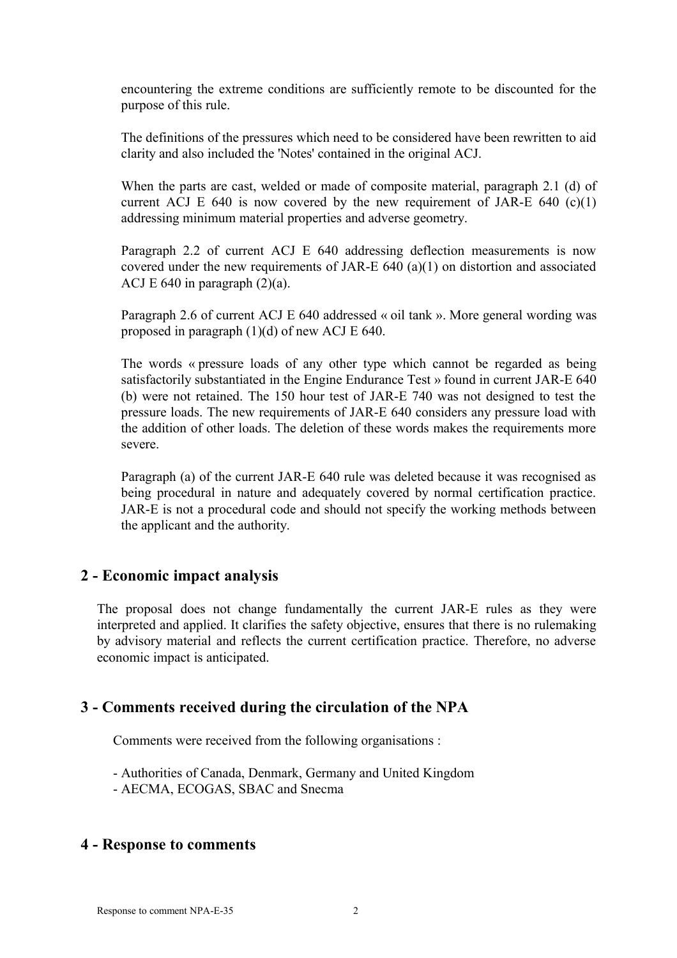encountering the extreme conditions are sufficiently remote to be discounted for the purpose of this rule.

The definitions of the pressures which need to be considered have been rewritten to aid clarity and also included the 'Notes' contained in the original ACJ.

When the parts are cast, welded or made of composite material, paragraph 2.1 (d) of current ACJ E 640 is now covered by the new requirement of JAR-E 640  $(c)(1)$ addressing minimum material properties and adverse geometry.

Paragraph 2.2 of current ACJ E 640 addressing deflection measurements is now covered under the new requirements of JAR-E 640 (a)(1) on distortion and associated ACJ E 640 in paragraph  $(2)(a)$ .

Paragraph 2.6 of current ACJ E 640 addressed « oil tank ». More general wording was proposed in paragraph (1)(d) of new ACJ E 640.

The words « pressure loads of any other type which cannot be regarded as being satisfactorily substantiated in the Engine Endurance Test » found in current JAR-E 640 (b) were not retained. The 150 hour test of JAR-E 740 was not designed to test the pressure loads. The new requirements of JAR-E 640 considers any pressure load with the addition of other loads. The deletion of these words makes the requirements more severe.

Paragraph (a) of the current JAR-E 640 rule was deleted because it was recognised as being procedural in nature and adequately covered by normal certification practice. JAR-E is not a procedural code and should not specify the working methods between the applicant and the authority.

## **2 - Economic impact analysis**

The proposal does not change fundamentally the current JAR-E rules as they were interpreted and applied. It clarifies the safety objective, ensures that there is no rulemaking by advisory material and reflects the current certification practice. Therefore, no adverse economic impact is anticipated.

## **3 - Comments received during the circulation of the NPA**

Comments were received from the following organisations :

- Authorities of Canada, Denmark, Germany and United Kingdom
- AECMA, ECOGAS, SBAC and Snecma

#### **4 - Response to comments**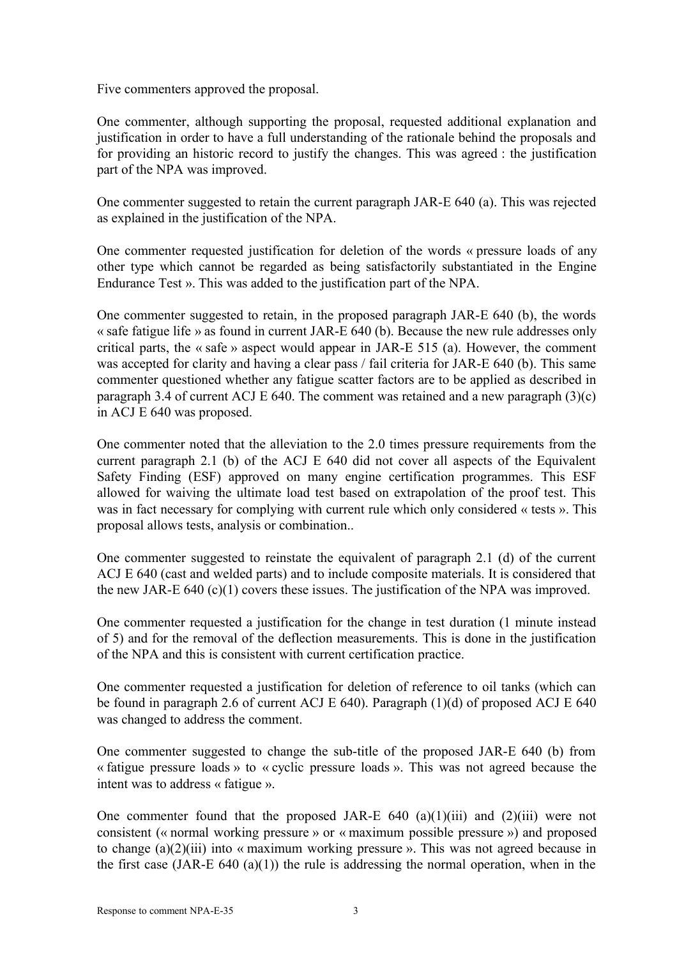Five commenters approved the proposal.

One commenter, although supporting the proposal, requested additional explanation and justification in order to have a full understanding of the rationale behind the proposals and for providing an historic record to justify the changes. This was agreed : the justification part of the NPA was improved.

One commenter suggested to retain the current paragraph JAR-E 640 (a). This was rejected as explained in the justification of the NPA.

One commenter requested justification for deletion of the words « pressure loads of any other type which cannot be regarded as being satisfactorily substantiated in the Engine Endurance Test ». This was added to the justification part of the NPA.

One commenter suggested to retain, in the proposed paragraph JAR-E 640 (b), the words « safe fatigue life » as found in current JAR-E 640 (b). Because the new rule addresses only critical parts, the « safe » aspect would appear in JAR-E 515 (a). However, the comment was accepted for clarity and having a clear pass / fail criteria for JAR-E 640 (b). This same commenter questioned whether any fatigue scatter factors are to be applied as described in paragraph 3.4 of current ACJ E 640. The comment was retained and a new paragraph  $(3)(c)$ in ACJ E 640 was proposed.

One commenter noted that the alleviation to the 2.0 times pressure requirements from the current paragraph 2.1 (b) of the ACJ E 640 did not cover all aspects of the Equivalent Safety Finding (ESF) approved on many engine certification programmes. This ESF allowed for waiving the ultimate load test based on extrapolation of the proof test. This was in fact necessary for complying with current rule which only considered « tests ». This proposal allows tests, analysis or combination..

One commenter suggested to reinstate the equivalent of paragraph 2.1 (d) of the current ACJ E 640 (cast and welded parts) and to include composite materials. It is considered that the new JAR-E 640 (c)(1) covers these issues. The justification of the NPA was improved.

One commenter requested a justification for the change in test duration (1 minute instead of 5) and for the removal of the deflection measurements. This is done in the justification of the NPA and this is consistent with current certification practice.

One commenter requested a justification for deletion of reference to oil tanks (which can be found in paragraph 2.6 of current ACJ E 640). Paragraph (1)(d) of proposed ACJ E 640 was changed to address the comment.

One commenter suggested to change the sub-title of the proposed JAR-E 640 (b) from « fatigue pressure loads » to « cyclic pressure loads ». This was not agreed because the intent was to address « fatigue ».

One commenter found that the proposed JAR-E  $640$  (a)(1)(iii) and (2)(iii) were not consistent (« normal working pressure » or « maximum possible pressure ») and proposed to change (a)(2)(iii) into « maximum working pressure ». This was not agreed because in the first case (JAR-E 640 (a)(1)) the rule is addressing the normal operation, when in the